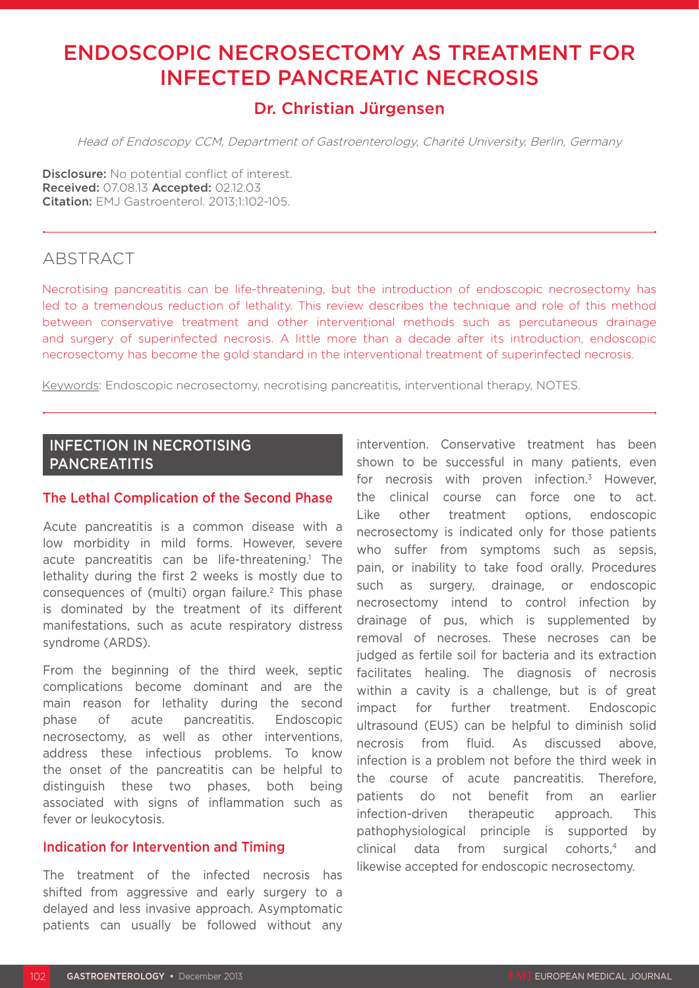# ENDOSCOPIC NECROSECTOMY AS TREATMENT FOR INFECTED PANCREATIC NECROSIS

# Dr. Christian Jürgensen

Head of Endoscopy CCM, Department of Gastroenterology, Charité University, Berlin, Germany

Disclosure: No potential conflict of interest. Received: 07.08.13 Accepted: 02.12.03 Citation: EMJ Gastroenterol. 2013;1:102-105.

### **ABSTRACT**

Necrotising pancreatitis can be life-threatening, but the introduction of endoscopic necrosectomy has led to a tremendous reduction of lethality. This review describes the technique and role of this method between conservative treatment and other interventional methods such as percutaneous drainage and surgery of superinfected necrosis. A little more than a decade after its introduction, endoscopic necrosectomy has become the gold standard in the interventional treatment of superinfected necrosis.

Keywords: Endoscopic necrosectomy, necrotising pancreatitis, interventional therapy, NOTES.

## INFECTION IN NECROTISING PANCREATITIS

#### The Lethal Complication of the Second Phase

Acute pancreatitis is a common disease with a low morbidity in mild forms. However, severe acute pancreatitis can be life-threatening.<sup>1</sup> The lethality during the first 2 weeks is mostly due to consequences of (multi) organ failure.2 This phase is dominated by the treatment of its different manifestations, such as acute respiratory distress syndrome (ARDS).

From the beginning of the third week, septic complications become dominant and are the main reason for lethality during the second phase of acute pancreatitis. Endoscopic necrosectomy, as well as other interventions, address these infectious problems. To know the onset of the pancreatitis can be helpful to distinguish these two phases, both being associated with signs of inflammation such as fever or leukocytosis.

#### Indication for Intervention and Timing

The treatment of the infected necrosis has shifted from aggressive and early surgery to a delayed and less invasive approach. Asymptomatic patients can usually be followed without any intervention. Conservative treatment has been shown to be successful in many patients, even for necrosis with proven infection. $3$  However, the clinical course can force one to act. Like other treatment options, endoscopic necrosectomy is indicated only for those patients who suffer from symptoms such as sepsis. pain, or inability to take food orally. Procedures such as surgery, drainage, or endoscopic necrosectomy intend to control infection by drainage of pus, which is supplemented by removal of necroses. These necroses can be judged as fertile soil for bacteria and its extraction facilitates healing. The diagnosis of necrosis within a cavity is a challenge, but is of great impact for further treatment. Endoscopic ultrasound (EUS) can be helpful to diminish solid necrosis from fluid. As discussed above, infection is a problem not before the third week in the course of acute pancreatitis. Therefore, patients do not benefit from an earlier infection-driven therapeutic approach. This pathophysiological principle is supported by clinical data from surgical cohorts,4 and likewise accepted for endoscopic necrosectomy.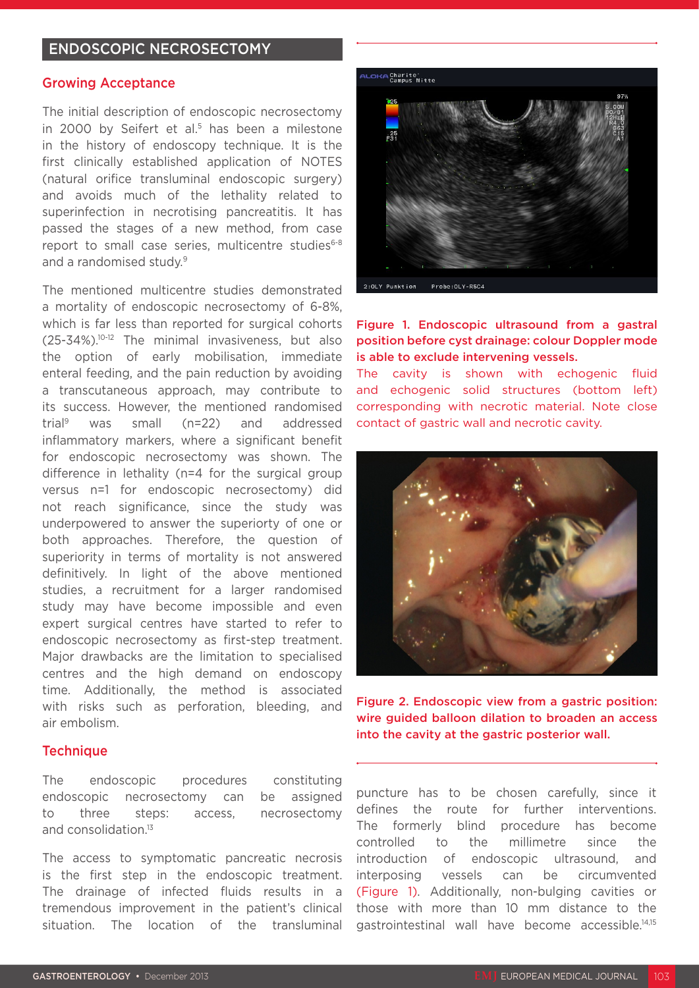#### ENDOSCOPIC NECROSECTOMY

#### Growing Acceptance

The initial description of endoscopic necrosectomy in 2000 by Seifert et al.<sup>5</sup> has been a milestone in the history of endoscopy technique. It is the first clinically established application of NOTES (natural orifice transluminal endoscopic surgery) and avoids much of the lethality related to superinfection in necrotising pancreatitis. It has passed the stages of a new method, from case report to small case series, multicentre studies<sup>6-8</sup> and a randomised study.<sup>9</sup>

The mentioned multicentre studies demonstrated a mortality of endoscopic necrosectomy of 6-8%, which is far less than reported for surgical cohorts (25-34%).10-12 The minimal invasiveness, but also the option of early mobilisation, immediate enteral feeding, and the pain reduction by avoiding a transcutaneous approach, may contribute to its success. However, the mentioned randomised trial9 was small (n=22) and addressed inflammatory markers, where a significant benefit for endoscopic necrosectomy was shown. The difference in lethality (n=4 for the surgical group versus n=1 for endoscopic necrosectomy) did not reach significance, since the study was underpowered to answer the superiorty of one or both approaches. Therefore, the question of superiority in terms of mortality is not answered definitively. In light of the above mentioned studies, a recruitment for a larger randomised study may have become impossible and even expert surgical centres have started to refer to endoscopic necrosectomy as first-step treatment. Major drawbacks are the limitation to specialised centres and the high demand on endoscopy time. Additionally, the method is associated with risks such as perforation, bleeding, and air embolism.

#### **Technique**

The endoscopic procedures constituting endoscopic necrosectomy can be assigned to three steps: access, necrosectomy and consolidation.13

The access to symptomatic pancreatic necrosis is the first step in the endoscopic treatment. The drainage of infected fluids results in a tremendous improvement in the patient's clinical situation. The location of the transluminal



#### Figure 1. Endoscopic ultrasound from a gastral position before cyst drainage: colour Doppler mode is able to exclude intervening vessels.

The cavity is shown with echogenic fluid and echogenic solid structures (bottom left) corresponding with necrotic material. Note close contact of gastric wall and necrotic cavity.



Figure 2. Endoscopic view from a gastric position: wire guided balloon dilation to broaden an access into the cavity at the gastric posterior wall.

puncture has to be chosen carefully, since it defines the route for further interventions. The formerly blind procedure has become controlled to the millimetre since the introduction of endoscopic ultrasound, and interposing vessels can be circumvented (Figure 1). Additionally, non-bulging cavities or those with more than 10 mm distance to the gastrointestinal wall have become accessible.14,15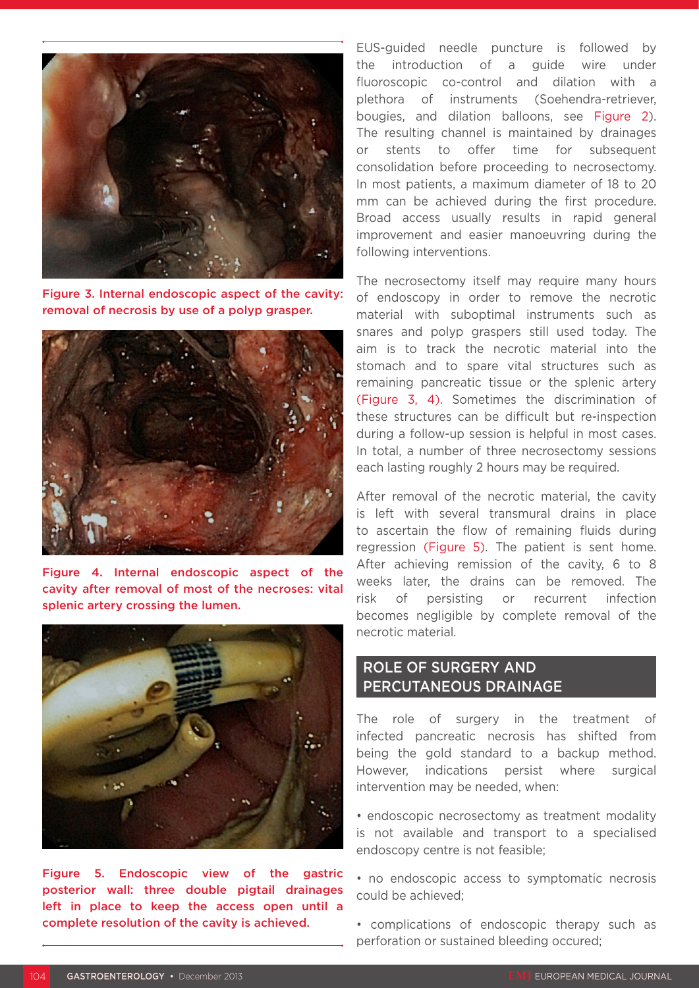

Figure 3. Internal endoscopic aspect of the cavity: removal of necrosis by use of a polyp grasper.



Figure 4. Internal endoscopic aspect of the cavity after removal of most of the necroses: vital splenic artery crossing the lumen.



Figure 5. Endoscopic view of the gastric posterior wall: three double pigtail drainages left in place to keep the access open until a complete resolution of the cavity is achieved.

EUS-guided needle puncture is followed by the introduction of a guide wire under fluoroscopic co-control and dilation with a plethora of instruments (Soehendra-retriever, bougies, and dilation balloons, see Figure 2). The resulting channel is maintained by drainages or stents to offer time for subsequent consolidation before proceeding to necrosectomy. In most patients, a maximum diameter of 18 to 20 mm can be achieved during the first procedure. Broad access usually results in rapid general improvement and easier manoeuvring during the following interventions.

The necrosectomy itself may require many hours of endoscopy in order to remove the necrotic material with suboptimal instruments such as snares and polyp graspers still used today. The aim is to track the necrotic material into the stomach and to spare vital structures such as remaining pancreatic tissue or the splenic artery (Figure 3, 4). Sometimes the discrimination of these structures can be difficult but re-inspection during a follow-up session is helpful in most cases. In total, a number of three necrosectomy sessions each lasting roughly 2 hours may be required.

After removal of the necrotic material, the cavity is left with several transmural drains in place to ascertain the flow of remaining fluids during regression (Figure 5). The patient is sent home. After achieving remission of the cavity, 6 to 8 weeks later, the drains can be removed. The risk of persisting or recurrent infection becomes negligible by complete removal of the necrotic material.

### ROLE OF SURGERY AND PERCUTANEOUS DRAINAGE

The role of surgery in the treatment of infected pancreatic necrosis has shifted from being the gold standard to a backup method. However, indications persist where surgical intervention may be needed, when:

• endoscopic necrosectomy as treatment modality is not available and transport to a specialised endoscopy centre is not feasible;

• no endoscopic access to symptomatic necrosis could be achieved;

• complications of endoscopic therapy such as perforation or sustained bleeding occured;